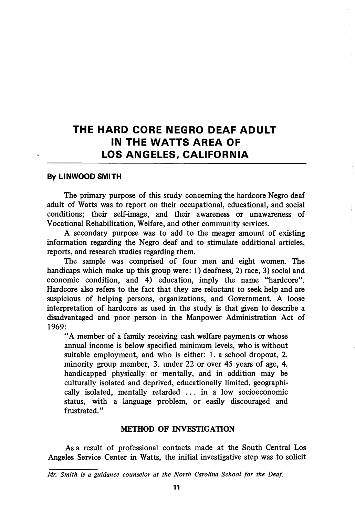# THE HARD CORE NEGRO DEAF ADULT IN THE WATTS AREA OF LOS ANGELES, CALIFORNIA

### By LINWOOD SMITH

The primary purpose of this study concerning the hardcore Negro deaf adult of Watts was to report on their occupational, educational, and social conditions; their self-image, and their awareness or unawareness of Vocational Rehabilitation, Welfare, and other community services.

A secondary purpose was to add to the meager amount of existing information regarding the Negro deaf and to stimulate additional articles, reports, and research studies regarding them.

The sample was comprised of four men and eight women. The handicaps which make up this group were: 1) deafness, 2) race, 3) social and economic condition, and 4) education, imply the name "hardcore". Hardcore also refers to the fact that they are reluctant to seek help and are suspicious of helping persons, organizations, and Government. A loose interpretation of hardcore as used in the study is that given to describe a disadvantaged and poor person in the Manpower Administration Act of 1969:

"A member of a family receiving cash welfare payments or whose annual income is below specified minimum levels, who is without suitable employment, and who is either: 1. a school dropout, 2. minority group member, 3. imder 22 or over 45 years of age, 4. handicapped physically or mentally, and in addition may be culturally isolated and deprived, educationally limited, geographi cally isolated, mentally retarded ... in a low socioeconomic status, with a language problem, or easily discouraged and frustrated."

#### METHOD OF INVESTIGATION

As a result of professional contacts made at the South Central Los Angeles Service Center in Watts, the initial investigative step was to solicit

Mr. Smith is a guidance counselor at the North Carolina School for the Deaf.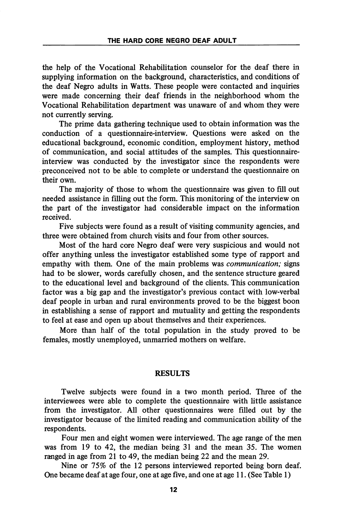the help of the Vocational Rehabilitation counselor for the deaf there in supplying information on the background, characteristics, and conditions of the deaf Negro adults in Watts. These people were contacted and inquiries were made concerning their deaf friends in the neighborhood whom the Vocational Rehabilitation department was unaware of and whom they were not currently serving.

The prime data gathering technique used to obtain information was the conduction of a questionnaire-interview. Questions were asked on the educational background, economic condition, employment history, method of communication, and social attitudes of the samples. This questionnaireinterview was conducted by the investigator since the respondents were preconceived not to be able to complete or understand the questionnaire on their own.

The majority of those to whom the questionnaire was given to fill out needed assistance in filling out the form. This monitoring of the interview on the part of the investigator had considerable impact on the information received.

Five subjects were found as a result of visiting community agencies, and three were obtained from church visits and four from other sources.

Most of the hard core Negro deaf were very suspicious and would not offer anything unless the investigator established some type of rapport and empathy with them. One of the main problems was *communication*; signs had to be slower, words carefully chosen, and the sentence structure geared to the educational level and background of the clients. This communication factor was a big gap and the investigator's previous contact with low-verbal deaf people in urban and rural environments proved to be the biggest boon in establishing a sense of rapport and mutuality and getting the respondents to feel at ease and open up about themselves and their experiences.

More than half of the total population in the study proved to be females, mostly unemployed, unmarried mothers on welfare.

### RESULTS

Twelve subjects were found in a two month period. Three of the interviewees were able to complete the questionnaire with httle assistance from the investigator. All other questionnaires were filled out by the investigator because of the limited reading and communication ability of the respondents.

Four men and eight women were interviewed. The age range of the men was from 19 to 42, the median being 31 and the mean 35. The women ranged in age from 21 to 49, the median being 22 and the mean 29.

Nine or 75% of the 12 persons interviewed reported being born deaf. One became deaf at age four, one at age five, and one at age 11. (See Table 1)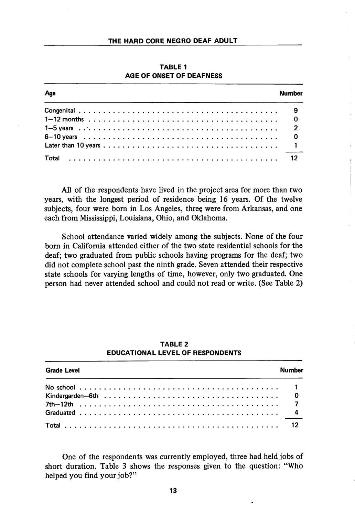| Age | Numher |
|-----|--------|
|     |        |
|     |        |
|     |        |
|     |        |
|     |        |
|     |        |

TABLE 1 AGE OF ONSET OF DEAFNESS

All of the respondents have lived in the project area for more than two years, with the longest period of residence being 16 years. Of the twelve subjects, four were born in Los Angeles, three were from Arkansas, and one each from Mississippi, Louisiana, Ohio, and Oklahoma.

School attendance varied widely among the subjects. None of the four born in California attended either of the two state residential schools for the deaf; two graduated from public schools having programs for the deaf; two did not complete school past the ninth grade. Seven attended their respective state schools for varying lengths of time, however, only two graduated. One person had never attended school and could not read or write. (See Table 2)

| <b>Grade Level</b> | <b>Number</b> |
|--------------------|---------------|
|                    |               |
|                    |               |
|                    |               |
|                    |               |
|                    |               |

### TABLE 2 EDUCATIONAL LEVEL OF RESPONDENTS

One of the respondents was currently employed, three had held jobs of short duration. Table 3 shows the responses given to the question: "Who helped you find your job?"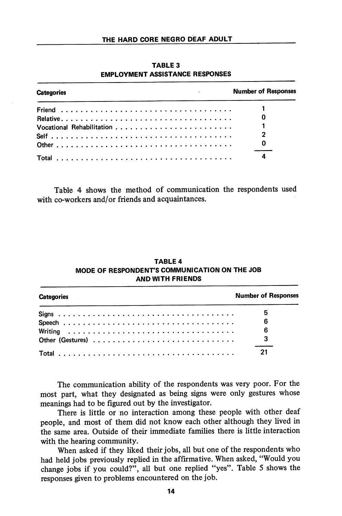| and the company of<br><b>Categories</b> | <b>Number of Responses</b> |
|-----------------------------------------|----------------------------|
|                                         |                            |
|                                         |                            |
|                                         |                            |
|                                         |                            |
|                                         | - 0                        |
|                                         |                            |

TABLE 3 EMPLOYMENT ASSISTANCE RESPONSES

Table 4 shows the method of communication the respondents used with co-workers and/or friends and acquaintances.

| <b>Categories</b> | <b>Number of Responses</b> |
|-------------------|----------------------------|
|                   | 5                          |
|                   | 6                          |
|                   | 6                          |
|                   |                            |
|                   | 21                         |

## TABLE 4 MODE OF RESPONDENT'S COMMUNICATION ON THE JOB AND WITH FRIENDS

The communication abihty of the respondents was very poor. For the most part, what they designated as being signs were only gestures whose meanings had to be figured out by the investigator.

There is little or no interaction among these people with other deaf people, and most of them did not know each other although they lived in the same area. Outside of their immediate families there is little interaction with the hearing community.

When asked if they liked their jobs, all but one of the respondents who had held jobs previously replied in the affirmative. When asked, "Would you change jobs if you could?", all but one replied "yes". Table 5 shows the responses given to problems encountered on the job.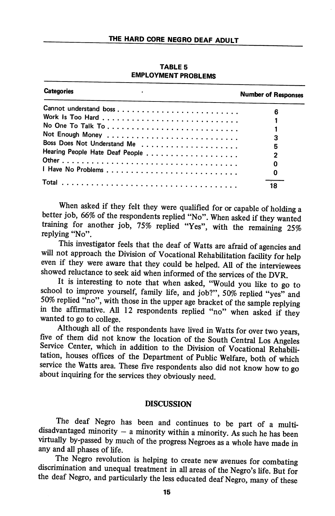TABLE 5 EMPLOYMENT PROBLEMS

| <b>Categories</b>           | <b>Number of Responses</b> |
|-----------------------------|----------------------------|
|                             | 6                          |
|                             |                            |
|                             |                            |
|                             |                            |
|                             | 3                          |
| Boss Does Not Understand Me | 5                          |
|                             | 2                          |
|                             | O                          |
|                             | O                          |
|                             | 18                         |

When asked if they felt they were qualified for or capable of holding a better job, 66% of the respondents replied "No". When asked if they wanted training for another job, 75% replied "Yes", with the remaining 25% replying "No".

This investigator feels that the deaf of Watts are afraid of agencies and will not approach the Division of Vocational Rehabilitation facility for help even if they were aware that they could be helped. All of the interviewees showed reluctance to seek aid when informed of the services of the DVR.

It is interesting to note that when asked, "Would you like to go to school to improve yourself, family life, and job?", 50% replied "yes" and 50% replied "no", with those in the upper age bracket of the sample replying in the affirmative. All 12 respondents rephed "no" when asked if they wanted to go to college.

Although all of the respondents have lived in Watts for over two years, five of them did not know the location of the South Central Los Angeles Service Center, which in addition to the Division of Vocational Rehabilitation, houses offices of the Department of Public Welfare, both of which service the Watts area. These five respondents also did not know how to go about inquiring for the services they obviously need.

## **DISCUSSION**

The deaf Negro has been and continues to be part of a multidisadvantaged minority  $-$  a minority within a minority. As such he has been virtually by-passed by much of the progress Negroes as a whole have made in any and all phases of life.

The Negro revolution is helping to create new avenues for combating discrimination and unequal treatment in all areas of the Negro's life. But for the deaf Negro, and particularly the less educated deaf Negro, many of these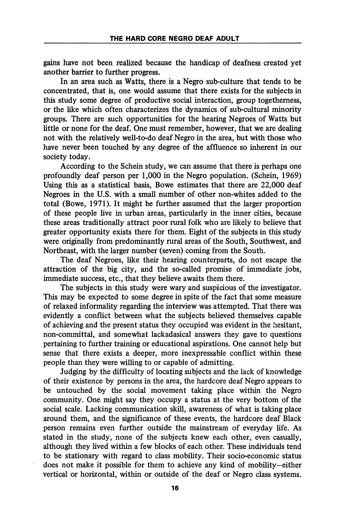gains have not been realized because the handicap of deafness created yet another barrier to further progress.

In an area such as Watts, there is a Negro sub-culture that tends to be concentrated, that is, one would assume that there exists for the subjects in this study some degree of productive social interaction, group togetherness, or the like which often characterizes the dynamics of sub-cultural minority groups. There are such opportunities for the hearing Negroes of Watts but little or none for the deaf. One must remember, however, that we are dealing not with the relatively well-to-do deaf Negro in the area, but with those who have never been touched by any degree of the affluence so inherent in our society today.

According to the Schein study, we can assume that there is perhaps one profoundly deaf person per 1,000 in the Negro population. (Schein, 1969) Using this as a statistical basis, Bowe estimates that there are 22,000 deaf Negroes in the U.S. with a small number of other non-whites added to the total (Bowe, 1971). It might be further assumed that the larger proportion of these people live in urban areas, particularly in the inner cities, because these areas traditionally attract poor rural folk who are likely to believe that greater opportunity exists there for them. Eight of the subjects in this study were originally from predominantly rural areas of the South, Southwest, and Northeast, with the larger number (seven) coming from the South.

The deaf Negroes, like their hearing counterparts, do not escape the attraction of the big city, and the so-called promise of immediate jobs, immediate success, etc., that they believe awaits them there.

The subjects in this study were wary and suspicious of the investigator. This may be expected to some degree in spite of the fact that some measure of relaxed informality regarding the interview was attempted. That there was evidently a conflict between what the subjects believed themselves capable of achieving and the present status they occupied was evident in the hesitant, non-committal, and somewhat lackadasical answers they gave to questions pertaining to further training or educational aspirations. One cannot help but sense that there exists a deeper, more inexpressable conflict within these people than they were willing to or capable of admitting.

Judging by the difficulty of locating subjects and the lack of knowledge of their existence by persons in the area, the hardcore deaf Negro appears to be untouched by the social movement taking place within the Negro community. One might say they occupy a status at the very bottom of the social scale. Lacking communication skill, awareness of what is taking place around them, and the significance of these events, the hardcore deaf Black person remains even further outside the mainstream of everyday life. As stated in the study, none of the subjects knew each other, even casually, although they lived within a few blocks of each other. These individuals tend to be stationary with regard to class mobility. Their socio-economic status does not make it possible for them to achieve any kind of mobility—either vertical or horizontal, within or outside of the deaf or Negro class systems.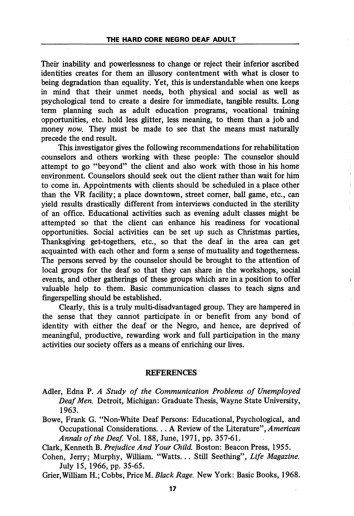Their inability and powerlessness to change or reject their inferior ascribed identities creates for them an illusory contentment with what is closer to being degradation than equality. Yet, this is vmderstandable when one keeps in mind that their unmet needs, both physical and social as well as psychological tend to create a desire for immediate, tangible results. Long term planning such as adult education programs, vocational training opportunities, etc. hold less glitter, less meaning, to them than a job and money now. They must be made to see that the means must naturally precede the end result.

This investigator gives the following recommendations for rehabilitation counselors and others working with these people: The counselor should attempt to go "beyond" the client and also work with those in his home environment. Counselors should seek out the client rather than wait for him to come in. Appointments with clients should be scheduled in a place other than the VR facility; a place downtown, street comer, ball game, etc., can yield results drastically different from interviews conducted in the sterility of an office. Educational activities such as evening adult classes might be attempted so that the client can enhance his readiness for vocational opportunities. Social activities can be set up such as Christmas parties. Thanksgiving get-togethers, etc., so that the deaf in the area can get acquainted with each other and form a sense of mutuahty and togethemess. The persons served by the counselor should be brought to the attention of local groups for the deaf so that they can share in the workshops, social events, and other gatherings of these groups which are in a position to offer valuable help to them. Basic communication classes to teach signs and fingerspelling should be established.

Clearly, this is a truly multi-disadvantaged group. They are hampered in the sense that they cannot participate in or benefit from any bond of identity with either the deaf or the Negro, and hence, are deprived of meaningful, productive, rewarding work and full participation in the many activities our society offers as a means of enriching our lives.

#### REFERENCES

- Adler, Edna P. A Study of the Communication Problems of Unemployed Deaf Men. Detroit, Michigan: Graduate Thesis, Wayne State University, 1963.
- Bowe, Frank G. "Non-White Deaf Persons: Educational, Psychological, and Occupational Considerations... A Review of the Literature", American Annals of the Deaf. Vol. 188, June, 1971, pp. 357-61.

Clark, Kenneth B. Prejudice And Your Child. Boston: Beacon Press, 1955.

- Cohen, Jerry; Murphy, William. "Watts... Still Seething", Life Magazine. July 15, 1966, pp. 35-65.
- Grier,Wilham H.; Cobbs, Price M. Black Rage. New York: Basic Books, 1968.